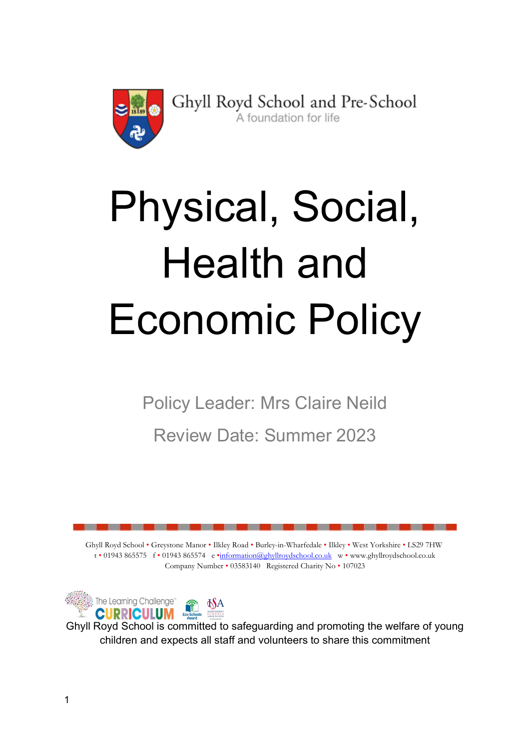

Ghyll Royd School and Pre-School A foundation for life

# Physical, Social, Health and Economic Policy

Policy Leader: Mrs Claire Neild

Review Date: Summer 2023

Ghyll Royd School • Greystone Manor • Ilkley Road • Burley-in-Wharfedale • Ilkley • West Yorkshire • LS29 7HW t • 01943 865575 f • 01943 865574 e •information@ghyllroydschool.co.uk w • www.ghyllroydschool.co.uk Company Number • 03583140 Registered Charity No • 107023



Ghyll Royd School is committed to safeguarding and promoting the welfare of young children and expects all staff and volunteers to share this commitment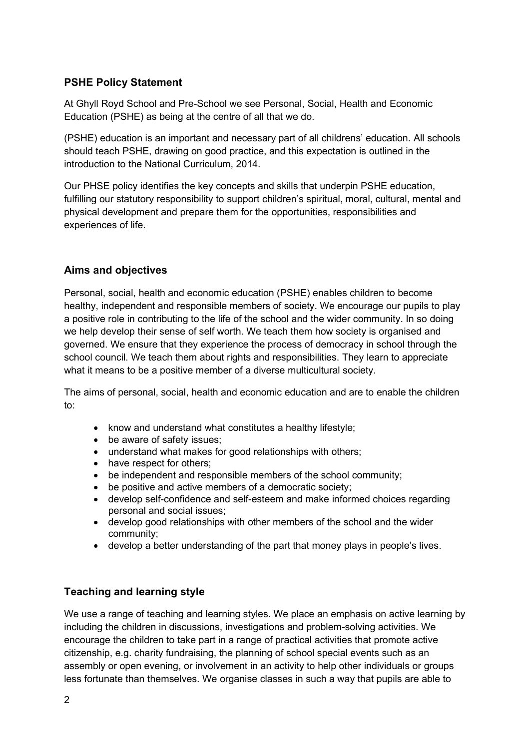# PSHE Policy Statement

At Ghyll Royd School and Pre-School we see Personal, Social, Health and Economic Education (PSHE) as being at the centre of all that we do.

(PSHE) education is an important and necessary part of all childrens' education. All schools should teach PSHE, drawing on good practice, and this expectation is outlined in the introduction to the National Curriculum, 2014.

Our PHSE policy identifies the key concepts and skills that underpin PSHE education, fulfilling our statutory responsibility to support children's spiritual, moral, cultural, mental and physical development and prepare them for the opportunities, responsibilities and experiences of life.

## Aims and objectives

Personal, social, health and economic education (PSHE) enables children to become healthy, independent and responsible members of society. We encourage our pupils to play a positive role in contributing to the life of the school and the wider community. In so doing we help develop their sense of self worth. We teach them how society is organised and governed. We ensure that they experience the process of democracy in school through the school council. We teach them about rights and responsibilities. They learn to appreciate what it means to be a positive member of a diverse multicultural society.

The aims of personal, social, health and economic education and are to enable the children to:

- know and understand what constitutes a healthy lifestyle;
- be aware of safety issues;
- understand what makes for good relationships with others;
- have respect for others:
- be independent and responsible members of the school community;
- be positive and active members of a democratic society;
- develop self-confidence and self-esteem and make informed choices regarding personal and social issues;
- develop good relationships with other members of the school and the wider community;
- develop a better understanding of the part that money plays in people's lives.

# Teaching and learning style

We use a range of teaching and learning styles. We place an emphasis on active learning by including the children in discussions, investigations and problem-solving activities. We encourage the children to take part in a range of practical activities that promote active citizenship, e.g. charity fundraising, the planning of school special events such as an assembly or open evening, or involvement in an activity to help other individuals or groups less fortunate than themselves. We organise classes in such a way that pupils are able to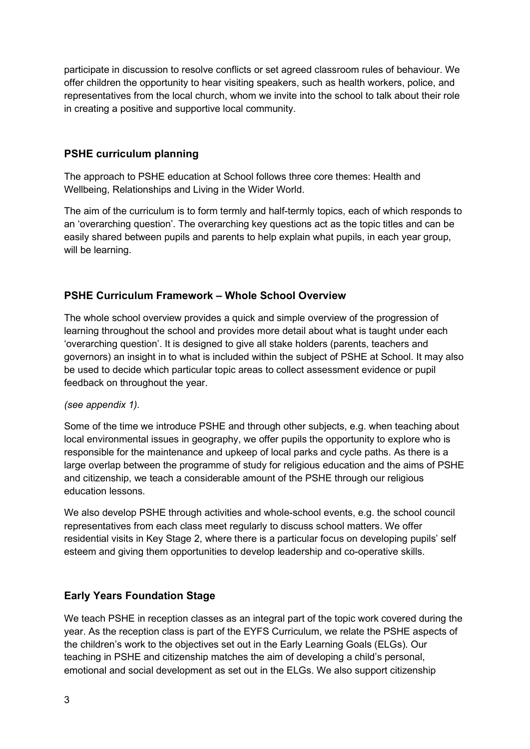participate in discussion to resolve conflicts or set agreed classroom rules of behaviour. We offer children the opportunity to hear visiting speakers, such as health workers, police, and representatives from the local church, whom we invite into the school to talk about their role in creating a positive and supportive local community.

# PSHE curriculum planning

The approach to PSHE education at School follows three core themes: Health and Wellbeing, Relationships and Living in the Wider World.

The aim of the curriculum is to form termly and half-termly topics, each of which responds to an 'overarching question'. The overarching key questions act as the topic titles and can be easily shared between pupils and parents to help explain what pupils, in each year group, will be learning.

## PSHE Curriculum Framework – Whole School Overview

The whole school overview provides a quick and simple overview of the progression of learning throughout the school and provides more detail about what is taught under each 'overarching question'. It is designed to give all stake holders (parents, teachers and governors) an insight in to what is included within the subject of PSHE at School. It may also be used to decide which particular topic areas to collect assessment evidence or pupil feedback on throughout the year.

### (see appendix 1).

Some of the time we introduce PSHE and through other subjects, e.g. when teaching about local environmental issues in geography, we offer pupils the opportunity to explore who is responsible for the maintenance and upkeep of local parks and cycle paths. As there is a large overlap between the programme of study for religious education and the aims of PSHE and citizenship, we teach a considerable amount of the PSHE through our religious education lessons.

We also develop PSHE through activities and whole-school events, e.g. the school council representatives from each class meet regularly to discuss school matters. We offer residential visits in Key Stage 2, where there is a particular focus on developing pupils' self esteem and giving them opportunities to develop leadership and co-operative skills.

### Early Years Foundation Stage

We teach PSHE in reception classes as an integral part of the topic work covered during the year. As the reception class is part of the EYFS Curriculum, we relate the PSHE aspects of the children's work to the objectives set out in the Early Learning Goals (ELGs). Our teaching in PSHE and citizenship matches the aim of developing a child's personal, emotional and social development as set out in the ELGs. We also support citizenship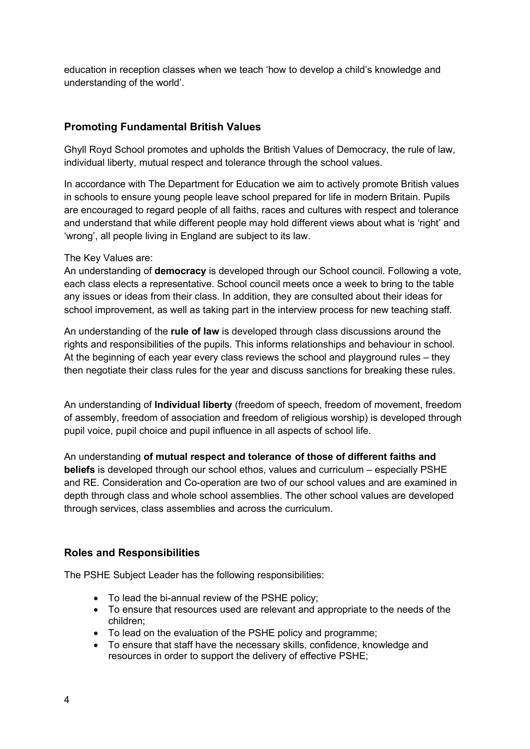education in reception classes when we teach 'how to develop a child's knowledge and understanding of the world'.

# Promoting Fundamental British Values

Ghyll Royd School promotes and upholds the British Values of Democracy, the rule of law, individual liberty, mutual respect and tolerance through the school values.

In accordance with The Department for Education we aim to actively promote British values in schools to ensure young people leave school prepared for life in modern Britain. Pupils are encouraged to regard people of all faiths, races and cultures with respect and tolerance and understand that while different people may hold different views about what is 'right' and 'wrong', all people living in England are subject to its law.

### The Key Values are:

An understanding of **democracy** is developed through our School council. Following a vote, each class elects a representative. School council meets once a week to bring to the table any issues or ideas from their class. In addition, they are consulted about their ideas for school improvement, as well as taking part in the interview process for new teaching staff.

An understanding of the rule of law is developed through class discussions around the rights and responsibilities of the pupils. This informs relationships and behaviour in school. At the beginning of each year every class reviews the school and playground rules – they then negotiate their class rules for the year and discuss sanctions for breaking these rules.

An understanding of Individual liberty (freedom of speech, freedom of movement, freedom of assembly, freedom of association and freedom of religious worship) is developed through pupil voice, pupil choice and pupil influence in all aspects of school life.

An understanding of mutual respect and tolerance of those of different faiths and beliefs is developed through our school ethos, values and curriculum – especially PSHE and RE. Consideration and Co-operation are two of our school values and are examined in depth through class and whole school assemblies. The other school values are developed through services, class assemblies and across the curriculum.

# Roles and Responsibilities

The PSHE Subject Leader has the following responsibilities:

- To lead the bi-annual review of the PSHE policy;
- To ensure that resources used are relevant and appropriate to the needs of the children;
- To lead on the evaluation of the PSHE policy and programme;
- To ensure that staff have the necessary skills, confidence, knowledge and resources in order to support the delivery of effective PSHE;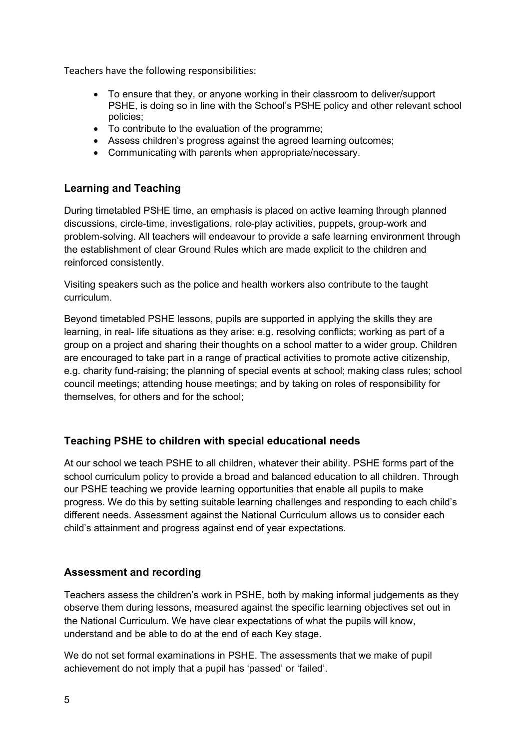Teachers have the following responsibilities:

- To ensure that they, or anyone working in their classroom to deliver/support PSHE, is doing so in line with the School's PSHE policy and other relevant school policies;
- To contribute to the evaluation of the programme:
- Assess children's progress against the agreed learning outcomes;
- Communicating with parents when appropriate/necessary.

## Learning and Teaching

During timetabled PSHE time, an emphasis is placed on active learning through planned discussions, circle-time, investigations, role-play activities, puppets, group-work and problem-solving. All teachers will endeavour to provide a safe learning environment through the establishment of clear Ground Rules which are made explicit to the children and reinforced consistently.

Visiting speakers such as the police and health workers also contribute to the taught curriculum.

Beyond timetabled PSHE lessons, pupils are supported in applying the skills they are learning, in real- life situations as they arise: e.g. resolving conflicts; working as part of a group on a project and sharing their thoughts on a school matter to a wider group. Children are encouraged to take part in a range of practical activities to promote active citizenship, e.g. charity fund-raising; the planning of special events at school; making class rules; school council meetings; attending house meetings; and by taking on roles of responsibility for themselves, for others and for the school;

### Teaching PSHE to children with special educational needs

At our school we teach PSHE to all children, whatever their ability. PSHE forms part of the school curriculum policy to provide a broad and balanced education to all children. Through our PSHE teaching we provide learning opportunities that enable all pupils to make progress. We do this by setting suitable learning challenges and responding to each child's different needs. Assessment against the National Curriculum allows us to consider each child's attainment and progress against end of year expectations.

# Assessment and recording

Teachers assess the children's work in PSHE, both by making informal judgements as they observe them during lessons, measured against the specific learning objectives set out in the National Curriculum. We have clear expectations of what the pupils will know, understand and be able to do at the end of each Key stage.

We do not set formal examinations in PSHE. The assessments that we make of pupil achievement do not imply that a pupil has 'passed' or 'failed'.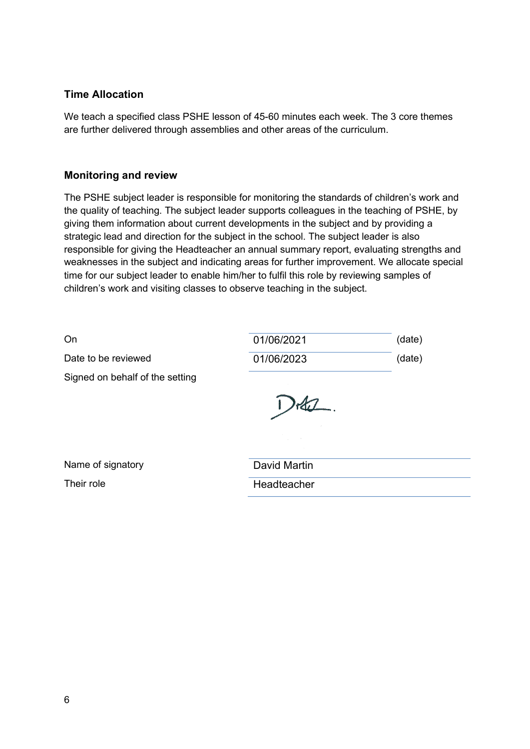## Time Allocation

We teach a specified class PSHE lesson of 45-60 minutes each week. The 3 core themes are further delivered through assemblies and other areas of the curriculum.

### Monitoring and review

The PSHE subject leader is responsible for monitoring the standards of children's work and the quality of teaching. The subject leader supports colleagues in the teaching of PSHE, by giving them information about current developments in the subject and by providing a strategic lead and direction for the subject in the school. The subject leader is also responsible for giving the Headteacher an annual summary report, evaluating strengths and weaknesses in the subject and indicating areas for further improvement. We allocate special time for our subject leader to enable him/her to fulfil this role by reviewing samples of children's work and visiting classes to observe teaching in the subject.

| On                              | 01/06/2021   | (date) |
|---------------------------------|--------------|--------|
| Date to be reviewed             | 01/06/2023   | (date) |
| Signed on behalf of the setting |              |        |
|                                 |              |        |
|                                 |              |        |
| Name of signatory               | David Martin |        |
| Their role                      | Headteacher  |        |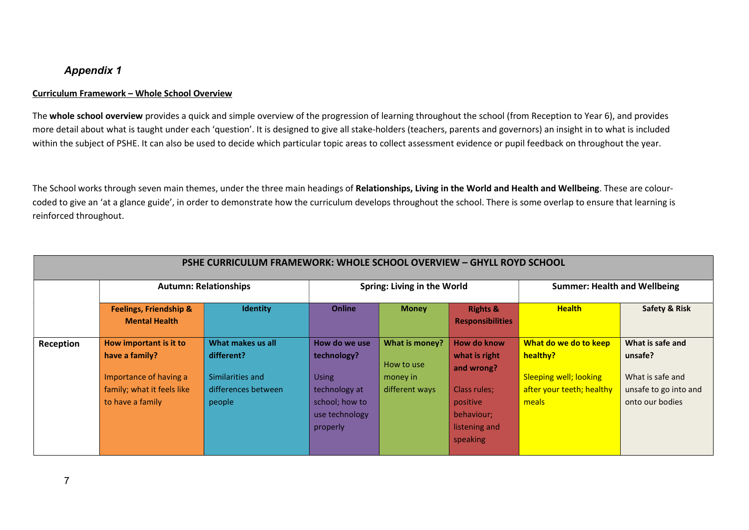### Appendix 1

### Curriculum Framework – Whole School Overview

The whole school overview provides a quick and simple overview of the progression of learning throughout the school (from Reception to Year 6), and provides more detail about what is taught under each 'question'. It is designed to give all stake-holders (teachers, parents and governors) an insight in to what is included within the subject of PSHE. It can also be used to decide which particular topic areas to collect assessment evidence or pupil feedback on throughout the year.

The School works through seven main themes, under the three main headings of Relationships, Living in the World and Health and Wellbeing. These are colourcoded to give an 'at a glance guide', in order to demonstrate how the curriculum develops throughout the school. There is some overlap to ensure that learning is reinforced throughout.

| PSHE CURRICULUM FRAMEWORK: WHOLE SCHOOL OVERVIEW - GHYLL ROYD SCHOOL |                                                                                                                      |                                                                                      |                                                                                                               |                                                            |                                                                                                                   |                                                                                                          |                                                                                             |  |  |
|----------------------------------------------------------------------|----------------------------------------------------------------------------------------------------------------------|--------------------------------------------------------------------------------------|---------------------------------------------------------------------------------------------------------------|------------------------------------------------------------|-------------------------------------------------------------------------------------------------------------------|----------------------------------------------------------------------------------------------------------|---------------------------------------------------------------------------------------------|--|--|
|                                                                      | <b>Autumn: Relationships</b>                                                                                         |                                                                                      | <b>Spring: Living in the World</b>                                                                            |                                                            |                                                                                                                   | <b>Summer: Health and Wellbeing</b>                                                                      |                                                                                             |  |  |
|                                                                      | <b>Feelings, Friendship &amp;</b><br><b>Mental Health</b>                                                            | <b>Identity</b>                                                                      | <b>Online</b>                                                                                                 | <b>Money</b>                                               | <b>Rights &amp;</b><br><b>Responsibilities</b>                                                                    | <b>Health</b>                                                                                            | Safety & Risk                                                                               |  |  |
| Reception                                                            | How important is it to<br>have a family?<br>Importance of having a<br>family; what it feels like<br>to have a family | What makes us all<br>different?<br>Similarities and<br>differences between<br>people | How do we use<br>technology?<br><b>Using</b><br>technology at<br>school; how to<br>use technology<br>properly | What is money?<br>How to use<br>money in<br>different ways | How do know<br>what is right<br>and wrong?<br>Class rules;<br>positive<br>behaviour;<br>listening and<br>speaking | What do we do to keep<br>healthy?<br><b>Sleeping well; looking</b><br>after your teeth; healthy<br>meals | What is safe and<br>unsafe?<br>What is safe and<br>unsafe to go into and<br>onto our bodies |  |  |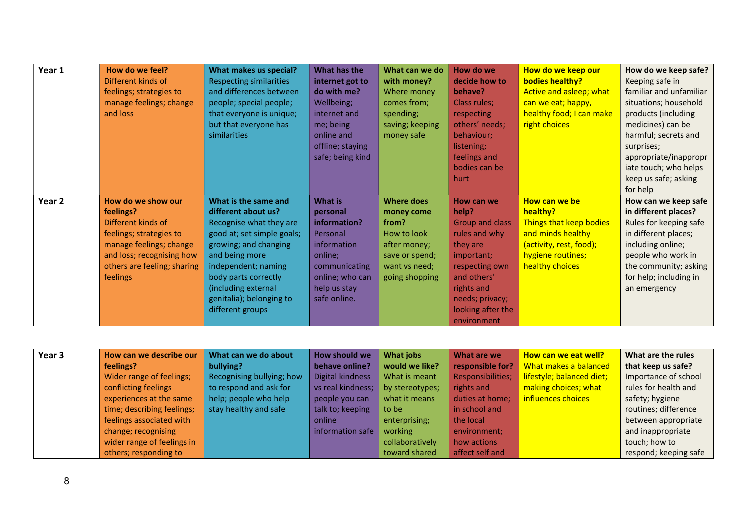| Year 1 | How do we feel?             | What makes us special?         | What has the     | What can we do    | How do we              | How do we keep our       | How do we keep safe?    |
|--------|-----------------------------|--------------------------------|------------------|-------------------|------------------------|--------------------------|-------------------------|
|        | Different kinds of          | <b>Respecting similarities</b> | internet got to  | with money?       | decide how to          | <b>bodies healthy?</b>   | Keeping safe in         |
|        | feelings; strategies to     | and differences between        | do with me?      | Where money       | behave?                | Active and asleep; what  | familiar and unfamiliar |
|        | manage feelings; change     | people; special people;        | Wellbeing;       | comes from;       | Class rules;           | can we eat; happy,       | situations; household   |
|        | and loss                    | that everyone is unique;       | internet and     | spending;         | respecting             | healthy food; I can make | products (including     |
|        |                             | but that everyone has          | me; being        | saving; keeping   | others' needs;         | right choices            | medicines) can be       |
|        |                             | similarities                   | online and       | money safe        | behaviour;             |                          | harmful; secrets and    |
|        |                             |                                | offline; staying |                   | listening;             |                          | surprises;              |
|        |                             |                                | safe; being kind |                   | feelings and           |                          | appropriate/inappropr   |
|        |                             |                                |                  |                   | bodies can be          |                          | iate touch; who helps   |
|        |                             |                                |                  |                   | hurt                   |                          | keep us safe; asking    |
|        |                             |                                |                  |                   |                        |                          | for help                |
| Year 2 | How do we show our          | What is the same and           | What is          | <b>Where does</b> | How can we             | How can we be            | How can we keep safe    |
|        | feelings?                   | different about us?            | personal         | money come        | help?                  | healthy?                 | in different places?    |
|        | Different kinds of          | Recognise what they are        | information?     | from?             | <b>Group and class</b> | Things that keep bodies  | Rules for keeping safe  |
|        | feelings; strategies to     | good at; set simple goals;     | Personal         | How to look       | rules and why          | and minds healthy        | in different places;    |
|        | manage feelings; change     | growing; and changing          | information      | after money;      | they are               | (activity, rest, food);  | including online;       |
|        | and loss; recognising how   | and being more                 | online;          | save or spend;    | important;             | hygiene routines;        | people who work in      |
|        | others are feeling; sharing | independent; naming            | communicating    | want vs need;     | respecting own         | healthy choices          | the community; asking   |
|        | feelings                    | body parts correctly           | online; who can  | going shopping    | and others'            |                          | for help; including in  |
|        |                             | (including external            | help us stay     |                   | rights and             |                          | an emergency            |
|        |                             | genitalia); belonging to       | safe online.     |                   | needs; privacy;        |                          |                         |
|        |                             | different groups               |                  |                   | looking after the      |                          |                         |
|        |                             |                                |                  |                   | environment            |                          |                         |

| Year 3 | How can we describe our    | What can we do about      | How should we     | What jobs       | What are we       | How can we eat well?      | What are the rules    |
|--------|----------------------------|---------------------------|-------------------|-----------------|-------------------|---------------------------|-----------------------|
|        | feelings?                  | bullying?                 | behave online?    | would we like?  | responsible for?  | What makes a balanced     | that keep us safe?    |
|        | Wider range of feelings;   | Recognising bullying; how | Digital kindness  | What is meant   | Responsibilities; | lifestyle; balanced diet; | Importance of school  |
|        | conflicting feelings       | to respond and ask for    | vs real kindness; | by stereotypes; | rights and        | making choices; what      | rules for health and  |
|        | experiences at the same    | help; people who help     | people you can    | what it means   | duties at home;   | influences choices        | safety; hygiene       |
|        | time; describing feelings; | stay healthy and safe     | talk to; keeping  | to be           | in school and     |                           | routines; difference  |
|        | feelings associated with   |                           | online            | enterprising;   | the local         |                           | between appropriate   |
|        | change; recognising        |                           | information safe  | working         | environment;      |                           | and inappropriate     |
|        | wider range of feelings in |                           |                   | collaboratively | how actions       |                           | touch; how to         |
|        | others; responding to      |                           |                   | toward shared   | affect self and   |                           | respond; keeping safe |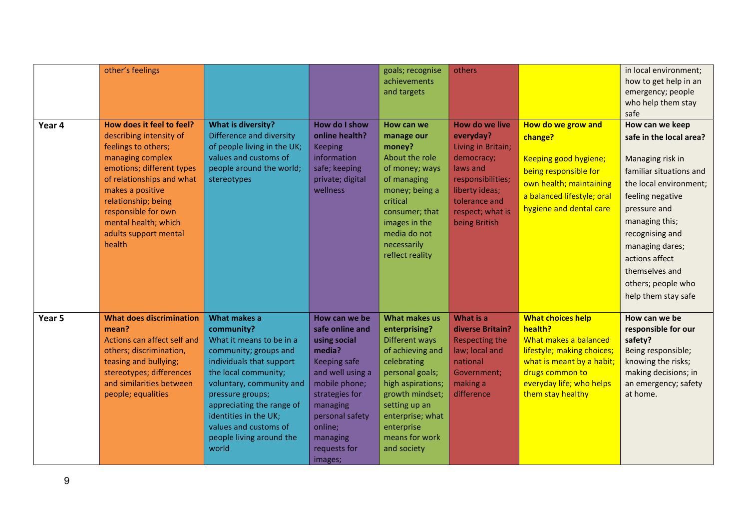|        | other's feelings                                                                                                                                                                                                                                                                       |                                                                                                                                                                                                                                                                                                         |                                                                                                                                                                                                                    | goals; recognise<br>achievements<br>and targets                                                                                                                                                                                           | others                                                                                                                                                                          |                                                                                                                                                                                             | in local environment;<br>how to get help in an<br>emergency; people<br>who help them stay<br>safe                                                                                                                                                                                                |
|--------|----------------------------------------------------------------------------------------------------------------------------------------------------------------------------------------------------------------------------------------------------------------------------------------|---------------------------------------------------------------------------------------------------------------------------------------------------------------------------------------------------------------------------------------------------------------------------------------------------------|--------------------------------------------------------------------------------------------------------------------------------------------------------------------------------------------------------------------|-------------------------------------------------------------------------------------------------------------------------------------------------------------------------------------------------------------------------------------------|---------------------------------------------------------------------------------------------------------------------------------------------------------------------------------|---------------------------------------------------------------------------------------------------------------------------------------------------------------------------------------------|--------------------------------------------------------------------------------------------------------------------------------------------------------------------------------------------------------------------------------------------------------------------------------------------------|
| Year 4 | How does it feel to feel?<br>describing intensity of<br>feelings to others;<br>managing complex<br>emotions; different types<br>of relationships and what<br>makes a positive<br>relationship; being<br>responsible for own<br>mental health; which<br>adults support mental<br>health | <b>What is diversity?</b><br>Difference and diversity<br>of people living in the UK;<br>values and customs of<br>people around the world;<br>stereotypes                                                                                                                                                | How do I show<br>online health?<br><b>Keeping</b><br>information<br>safe; keeping<br>private; digital<br>wellness                                                                                                  | How can we<br>manage our<br>money?<br>About the role<br>of money; ways<br>of managing<br>money; being a<br>critical<br>consumer; that<br>images in the<br>media do not<br>necessarily<br>reflect reality                                  | <b>How do we live</b><br>everyday?<br>Living in Britain;<br>democracy;<br>laws and<br>responsibilities;<br>liberty ideas;<br>tolerance and<br>respect; what is<br>being British | How do we grow and<br>change?<br>Keeping good hygiene;<br>being responsible for<br>own health; maintaining<br>a balanced lifestyle; oral<br>hygiene and dental care                         | How can we keep<br>safe in the local area?<br>Managing risk in<br>familiar situations and<br>the local environment;<br>feeling negative<br>pressure and<br>managing this;<br>recognising and<br>managing dares;<br>actions affect<br>themselves and<br>others; people who<br>help them stay safe |
| Year 5 | <b>What does discrimination</b><br>mean?<br>Actions can affect self and<br>others; discrimination,<br>teasing and bullying;<br>stereotypes; differences<br>and similarities between<br>people; equalities                                                                              | What makes a<br>community?<br>What it means to be in a<br>community; groups and<br>individuals that support<br>the local community;<br>voluntary, community and<br>pressure groups;<br>appreciating the range of<br>identities in the UK;<br>values and customs of<br>people living around the<br>world | How can we be<br>safe online and<br>using social<br>media?<br>Keeping safe<br>and well using a<br>mobile phone;<br>strategies for<br>managing<br>personal safety<br>online;<br>managing<br>requests for<br>images; | <b>What makes us</b><br>enterprising?<br>Different ways<br>of achieving and<br>celebrating<br>personal goals;<br>high aspirations;<br>growth mindset;<br>setting up an<br>enterprise; what<br>enterprise<br>means for work<br>and society | What is a<br>diverse Britain?<br><b>Respecting the</b><br>law; local and<br>national<br>Government;<br>making a<br>difference                                                   | <b>What choices help</b><br>health?<br>What makes a balanced<br>lifestyle; making choices;<br>what is meant by a habit;<br>drugs common to<br>everyday life; who helps<br>them stay healthy | How can we be<br>responsible for our<br>safety?<br>Being responsible;<br>knowing the risks;<br>making decisions; in<br>an emergency; safety<br>at home.                                                                                                                                          |